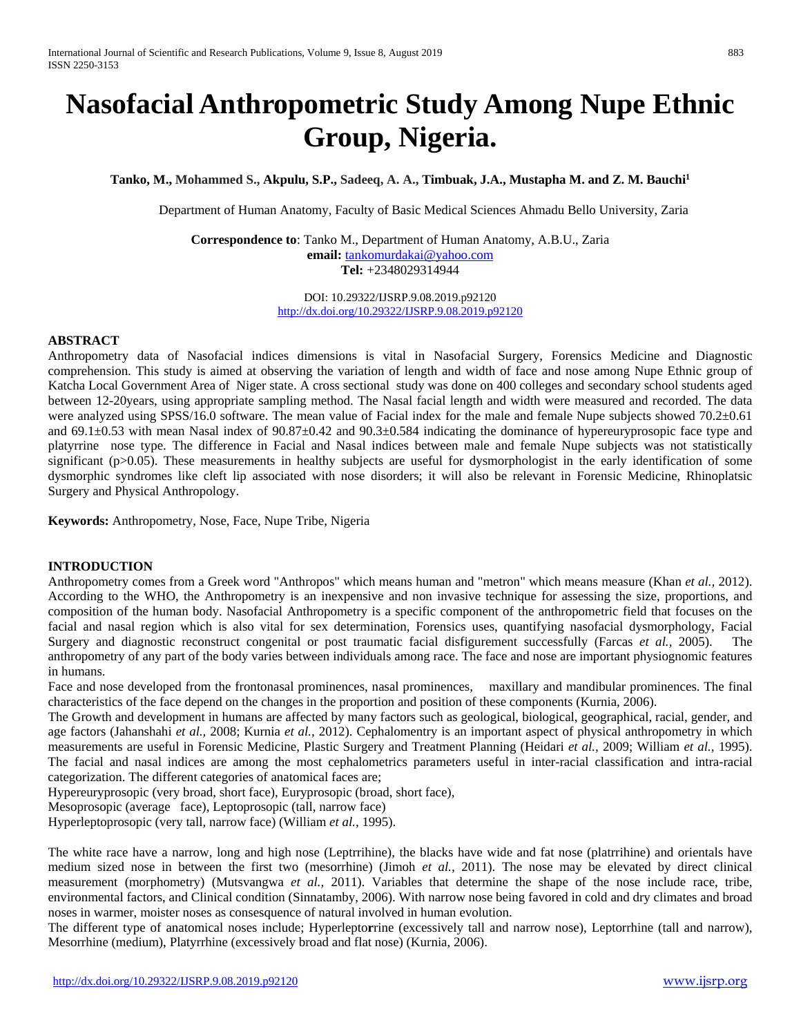# **Nasofacial Anthropometric Study Among Nupe Ethnic Group, Nigeria.**

**Tanko, M., Mohammed S., Akpulu, S.P., Sadeeq, A. A., Timbuak, J.A., Mustapha M. and Z. M. Bauchi1**

Department of Human Anatomy, Faculty of Basic Medical Sciences Ahmadu Bello University, Zaria

**Correspondence to**: Tanko M., Department of Human Anatomy, A.B.U., Zaria **email:** [tankomurdakai@yahoo.com](mailto:tankomurdakai@yahoo.com) **Tel:** +2348029314944

> DOI: 10.29322/IJSRP.9.08.2019.p92120 <http://dx.doi.org/10.29322/IJSRP.9.08.2019.p92120>

#### **ABSTRACT**

Anthropometry data of Nasofacial indices dimensions is vital in Nasofacial Surgery, Forensics Medicine and Diagnostic comprehension. This study is aimed at observing the variation of length and width of face and nose among Nupe Ethnic group of Katcha Local Government Area of Niger state. A cross sectional study was done on 400 colleges and secondary school students aged between 12-20years, using appropriate sampling method. The Nasal facial length and width were measured and recorded. The data were analyzed using SPSS/16.0 software. The mean value of Facial index for the male and female Nupe subjects showed 70.2±0.61 and 69.1±0.53 with mean Nasal index of 90.87±0.42 and 90.3±0.584 indicating the dominance of hypereuryprosopic face type and platyrrine nose type. The difference in Facial and Nasal indices between male and female Nupe subjects was not statistically significant (p>0.05). These measurements in healthy subjects are useful for dysmorphologist in the early identification of some dysmorphic syndromes like cleft lip associated with nose disorders; it will also be relevant in Forensic Medicine, Rhinoplatsic Surgery and Physical Anthropology.

**Keywords:** Anthropometry, Nose, Face, Nupe Tribe, Nigeria

### **INTRODUCTION**

Anthropometry comes from a Greek word "Anthropos" which means human and "metron" which means measure (Khan *et al.,* 2012). According to the WHO, the Anthropometry is an inexpensive and non invasive technique for assessing the size, proportions, and composition of the human body. Nasofacial Anthropometry is a specific component of the anthropometric field that focuses on the facial and nasal region which is also vital for sex determination, Forensics uses, quantifying nasofacial dysmorphology, Facial Surgery and diagnostic reconstruct congenital or post traumatic facial disfigurement successfully (Farcas *et al.,* 2005). The anthropometry of any part of the body varies between individuals among race. The face and nose are important physiognomic features in humans.

Face and nose developed from the frontonasal prominences, nasal prominences, maxillary and mandibular prominences. The final characteristics of the face depend on the changes in the proportion and position of these components (Kurnia, 2006).

The Growth and development in humans are affected by many factors such as geological, biological, geographical, racial, gender, and age factors (Jahanshahi *et al.,* 2008; Kurnia *et al.,* 2012). Cephalomentry is an important aspect of physical anthropometry in which measurements are useful in Forensic Medicine, Plastic Surgery and Treatment Planning (Heidari *et al.,* 2009; William *et al.,* 1995). The facial and nasal indices are among the most cephalometrics parameters useful in inter-racial classification and intra-racial categorization. The different categories of anatomical faces are;

Hypereuryprosopic (very broad, short face), Euryprosopic (broad, short face),

Mesoprosopic (average face), Leptoprosopic (tall, narrow face)

Hyperleptoprosopic (very tall, narrow face) (William *et al.,* 1995).

The white race have a narrow, long and high nose (Leptrrihine), the blacks have wide and fat nose (platrrihine) and orientals have medium sized nose in between the first two (mesorrhine) (Jimoh *et al.,* 2011). The nose may be elevated by direct clinical measurement (morphometry) (Mutsvangwa *et al.,* 2011). Variables that determine the shape of the nose include race, tribe, environmental factors, and Clinical condition (Sinnatamby, 2006). With narrow nose being favored in cold and dry climates and broad noses in warmer, moister noses as consesquence of natural involved in human evolution.

The different type of anatomical noses include; Hyperlepto**r**rine (excessively tall and narrow nose), Leptorrhine (tall and narrow), Mesorrhine (medium), Platyrrhine (excessively broad and flat nose) (Kurnia, 2006).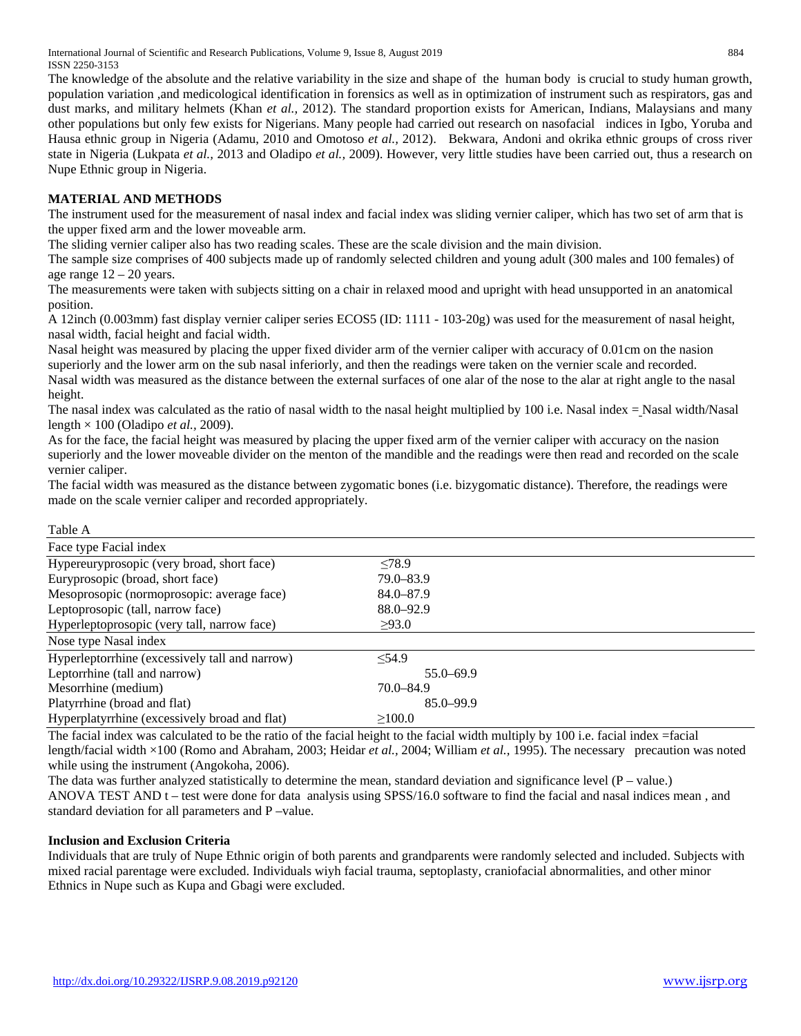International Journal of Scientific and Research Publications, Volume 9, Issue 8, August 2019 884 ISSN 2250-3153

The knowledge of the absolute and the relative variability in the size and shape of the human body is crucial to study human growth, population variation ,and medicological identification in forensics as well as in optimization of instrument such as respirators, gas and dust marks, and military helmets (Khan *et al.,* 2012). The standard proportion exists for American, Indians, Malaysians and many other populations but only few exists for Nigerians. Many people had carried out research on nasofacial indices in Igbo, Yoruba and Hausa ethnic group in Nigeria (Adamu, 2010 and Omotoso *et al.,* 2012). Bekwara, Andoni and okrika ethnic groups of cross river state in Nigeria (Lukpata *et al.,* 2013 and Oladipo *et al.,* 2009). However, very little studies have been carried out, thus a research on Nupe Ethnic group in Nigeria.

## **MATERIAL AND METHODS**

The instrument used for the measurement of nasal index and facial index was sliding vernier caliper, which has two set of arm that is the upper fixed arm and the lower moveable arm.

The sliding vernier caliper also has two reading scales. These are the scale division and the main division.

The sample size comprises of 400 subjects made up of randomly selected children and young adult (300 males and 100 females) of age range  $12 - 20$  years.

The measurements were taken with subjects sitting on a chair in relaxed mood and upright with head unsupported in an anatomical position.

A 12inch (0.003mm) fast display vernier caliper series ECOS5 (ID: 1111 - 103-20g) was used for the measurement of nasal height, nasal width, facial height and facial width.

Nasal height was measured by placing the upper fixed divider arm of the vernier caliper with accuracy of 0.01cm on the nasion superiorly and the lower arm on the sub nasal inferiorly, and then the readings were taken on the vernier scale and recorded. Nasal width was measured as the distance between the external surfaces of one alar of the nose to the alar at right angle to the nasal height.

The nasal index was calculated as the ratio of nasal width to the nasal height multiplied by 100 i.e. Nasal index = Nasal width/Nasal length × 100 (Oladipo *et al.,* 2009).

As for the face, the facial height was measured by placing the upper fixed arm of the vernier caliper with accuracy on the nasion superiorly and the lower moveable divider on the menton of the mandible and the readings were then read and recorded on the scale vernier caliper.

The facial width was measured as the distance between zygomatic bones (i.e. bizygomatic distance). Therefore, the readings were made on the scale vernier caliper and recorded appropriately.

| Table A                                        |               |  |
|------------------------------------------------|---------------|--|
| Face type Facial index                         |               |  |
| Hypereuryprosopic (very broad, short face)     | < 78.9        |  |
| Euryprosopic (broad, short face)               | $79.0 - 83.9$ |  |
| Mesoprosopic (normoprosopic: average face)     | $84.0 - 87.9$ |  |
| Leptoprosopic (tall, narrow face)              | $88.0 - 92.9$ |  |
| Hyperleptoprosopic (very tall, narrow face)    | >93.0         |  |
| Nose type Nasal index                          |               |  |
| Hyperleptorrhine (excessively tall and narrow) | < 54.9        |  |
| Leptorrhine (tall and narrow)                  | $55.0 - 69.9$ |  |
| Mesorrhine (medium)                            | $70.0 - 84.9$ |  |
| Platyrrhine (broad and flat)                   | $85.0 - 99.9$ |  |
| Hyperplatyrrhine (excessively broad and flat)  | >100.0        |  |

The facial index was calculated to be the ratio of the facial height to the facial width multiply by 100 i.e. facial index =facial length/facial width ×100 (Romo and Abraham, 2003; Heidar *et al.,* 2004; William *et al.,* 1995). The necessary precaution was noted while using the instrument (Angokoha, 2006).

The data was further analyzed statistically to determine the mean, standard deviation and significance level  $(P - value)$ . ANOVA TEST AND t – test were done for data analysis using SPSS/16.0 software to find the facial and nasal indices mean , and standard deviation for all parameters and P –value.

## **Inclusion and Exclusion Criteria**

Individuals that are truly of Nupe Ethnic origin of both parents and grandparents were randomly selected and included. Subjects with mixed racial parentage were excluded. Individuals wiyh facial trauma, septoplasty, craniofacial abnormalities, and other minor Ethnics in Nupe such as Kupa and Gbagi were excluded.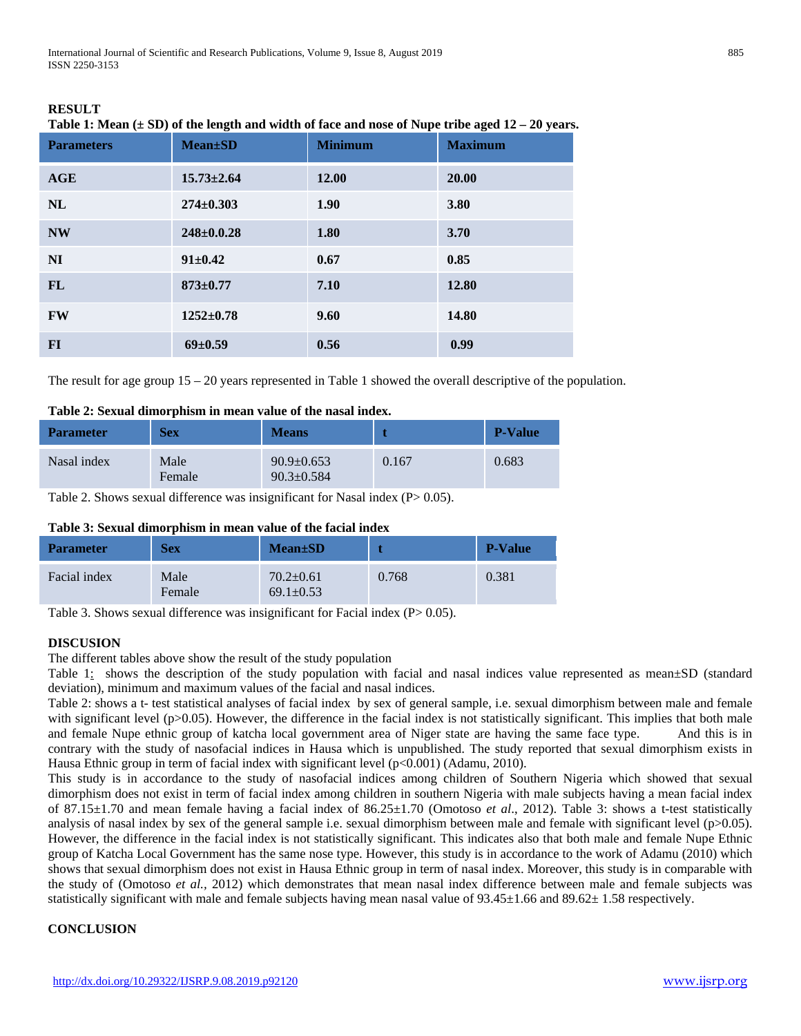International Journal of Scientific and Research Publications, Volume 9, Issue 8, August 2019 885 ISSN 2250-3153

| <b>Parameters</b> | <b>Mean</b> ±SD  | <b>Minimum</b> | <b>Maximum</b> |
|-------------------|------------------|----------------|----------------|
| AGE               | $15.73 \pm 2.64$ | 12.00          | 20.00          |
| NL                | $274 \pm 0.303$  | 1.90           | 3.80           |
| <b>NW</b>         | $248 \pm 0.0.28$ | 1.80           | 3.70           |
| NI                | $91 \pm 0.42$    | 0.67           | 0.85           |
| FL                | $873 \pm 0.77$   | 7.10           | 12.80          |
| <b>FW</b>         | $1252 \pm 0.78$  | 9.60           | 14.80          |
| $FI$              | $69 \pm 0.59$    | 0.56           | 0.99           |

| <b>RESULT</b>                                                                                         |  |
|-------------------------------------------------------------------------------------------------------|--|
| Table 1: Mean $(\pm SD)$ of the length and width of face and nose of Nupe tribe aged $12 - 20$ years. |  |

The result for age group 15 – 20 years represented in Table 1 showed the overall descriptive of the population.

# **Table 2: Sexual dimorphism in mean value of the nasal index.**

| <b>Parameter</b> | <b>Sex</b>     | <b>Means</b>                         |       | <b>P-Value</b> |
|------------------|----------------|--------------------------------------|-------|----------------|
| Nasal index      | Male<br>Female | $90.9 \pm 0.653$<br>$90.3 \pm 0.584$ | 0.167 | 0.683          |

Table 2. Shows sexual difference was insignificant for Nasal index (P > 0.05).

| Table 3: Sexual dimorphism in mean value of the facial index |  |  |  |  |  |
|--------------------------------------------------------------|--|--|--|--|--|
|--------------------------------------------------------------|--|--|--|--|--|

| <b>Parameter</b> | <b>Sex</b>     | $Mean \pm SD$                      |       | <b>P-Value</b> |
|------------------|----------------|------------------------------------|-------|----------------|
| Facial index     | Male<br>Female | $70.2 \pm 0.61$<br>$69.1 \pm 0.53$ | 0.768 | 0.381          |

Table 3. Shows sexual difference was insignificant for Facial index (P > 0.05).

# **DISCUSION**

The different tables above show the result of the study population

Table  $1:$  shows the description of the study population with facial and nasal indices value represented as mean $\pm SD$  (standard deviation), minimum and maximum values of the facial and nasal indices.

Table 2: shows a t- test statistical analyses of facial index by sex of general sample, i.e. sexual dimorphism between male and female with significant level  $(p>0.05)$ . However, the difference in the facial index is not statistically significant. This implies that both male and female Nupe ethnic group of katcha local government area of Niger state are having the same face type. And this is in contrary with the study of nasofacial indices in Hausa which is unpublished. The study reported that sexual dimorphism exists in Hausa Ethnic group in term of facial index with significant level (p<0.001) (Adamu, 2010).

This study is in accordance to the study of nasofacial indices among children of Southern Nigeria which showed that sexual dimorphism does not exist in term of facial index among children in southern Nigeria with male subjects having a mean facial index of 87.15±1.70 and mean female having a facial index of 86.25±1.70 (Omotoso *et al*., 2012). Table 3: shows a t-test statistically analysis of nasal index by sex of the general sample i.e. sexual dimorphism between male and female with significant level (p>0.05). However, the difference in the facial index is not statistically significant. This indicates also that both male and female Nupe Ethnic group of Katcha Local Government has the same nose type. However, this study is in accordance to the work of Adamu (2010) which shows that sexual dimorphism does not exist in Hausa Ethnic group in term of nasal index. Moreover, this study is in comparable with the study of (Omotoso *et al.,* 2012) which demonstrates that mean nasal index difference between male and female subjects was statistically significant with male and female subjects having mean nasal value of  $93.45\pm1.66$  and  $89.62\pm1.58$  respectively.

# **CONCLUSION**